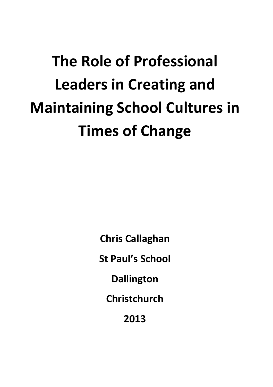# **The Role of Professional Leaders in Creating and Maintaining School Cultures in Times!of!Change**

**Chris!Callaghan**

**St Paul's School** 

**Dallington**

**Christchurch**

**2013**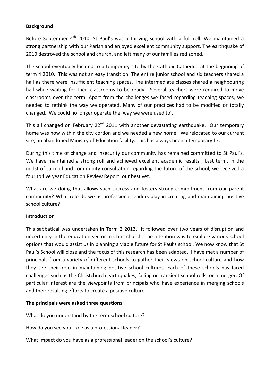#### **Background**

Before September 4<sup>th</sup> 2010, St Paul's was a thriving school with a full roll. We maintained a strong partnership with our Parish and enjoyed excellent community support. The earthquake of 2010 destroyed the school and church, and left many of our families red zoned.

The school eventually located to a temporary site by the Catholic Cathedral at the beginning of term 4 2010. This was not an easy transition. The entire junior school and six teachers shared a hall as there were insufficient teaching spaces. The intermediate classes shared a neighbouring hall while waiting for their classrooms to be ready. Several teachers were required to move classrooms over the term. Apart from the challenges we faced regarding teaching spaces, we needed to rethink the way we operated. Many of our practices had to be modified or totally changed. We could no longer operate the 'way we were used to'.

This all changed on February 22<sup>nd</sup> 2011 with another devastating earthquake. Our temporary home was now within the city cordon and we needed a new home. We relocated to our current site, an abandoned Ministry of Education facility. This has always been a temporary fix.

During this time of change and insecurity our community has remained committed to St Paul's. We have maintained a strong roll and achieved excellent academic results. Last term, in the midst of turmoil and community consultation regarding the future of the school, we received a four to five year Education Review Report, our best yet.

What are we doing that allows such success and fosters strong commitment from our parent community? What role do we as professional leaders play in creating and maintaining positive school culture?

## **Introduction**

This sabbatical was undertaken in Term 2 2013. It followed over two years of disruption and uncertainty in the education sector in Christchurch. The intention was to explore various school options that would assist us in planning a viable future for St Paul's school. We now know that St Paul's School will close and the focus of this research has been adapted. I have met a number of principals from a variety of different schools to gather their views on school culture and how they see their role in maintaining positive school cultures. Each of these schools has faced challenges such as the Christchurch earthquakes, falling or transient school rolls, or a merger. Of particular interest are the viewpoints from principals who have experience in merging schools and their resulting efforts to create a positive culture.

#### The principals were asked three questions:

What do you understand by the term school culture?

How do you see your role as a professional leader?

What impact do you have as a professional leader on the school's culture?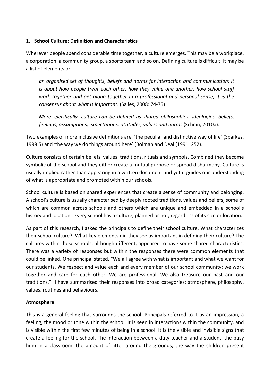## 1. **School Culture: Definition and Characteristics**

Wherever people spend considerable time together, a culture emerges. This may be a workplace, a corporation, a community group, a sports team and so on. Defining culture is difficult. It may be a list of elements or:

an organised set of thoughts, beliefs and norms for interaction and communication; it *is about how people treat each other, how they value one another, how school staff* work together and get along together in a professional and personal sense, it is the *consensus about what is important.* (Sailes, 2008: 74-75)

*More specifically, culture can be defined as shared philosophies, ideologies, beliefs, feelings, assumptions, expectations, attitudes, values and norms* (Schein, 2010a).

Two examples of more inclusive definitions are, 'the peculiar and distinctive way of life' (Sparkes, 1999:5) and 'the way we do things around here' (Bolman and Deal (1991: 252).

Culture consists of certain beliefs, values, traditions, rituals and symbols. Combined they become symbolic of the school and they either create a mutual purpose or spread disharmony. Culture is usually implied rather than appearing in a written document and yet it guides our understanding of what is appropriate and promoted within our schools.

School culture is based on shared experiences that create a sense of community and belonging. A school's culture is usually characterised by deeply rooted traditions, values and beliefs, some of which are common across schools and others which are unique and embedded in a school's history and location. Every school has a culture, planned or not, regardless of its size or location.

As part of this research, I asked the principals to define their school culture. What characterizes their school culture? What key elements did they see as important in defining their culture? The cultures within these schools, although different, appeared to have some shared characteristics. There was a variety of responses but within the responses there were common elements that could be linked. One principal stated, "We all agree with what is important and what we want for our students. We respect and value each and every member of our school community; we work together and care for each other. We are professional. We also treasure our past and our traditions." I have summarised their responses into broad categories: atmosphere, philosophy, values, routines and behaviours.

## **Atmosphere**

This is a general feeling that surrounds the school. Principals referred to it as an impression, a feeling, the mood or tone within the school. It is seen in interactions within the community, and is visible within the first few minutes of being in a school. It is the visible and invisible signs that create a feeling for the school. The interaction between a duty teacher and a student, the busy hum in a classroom, the amount of litter around the grounds, the way the children present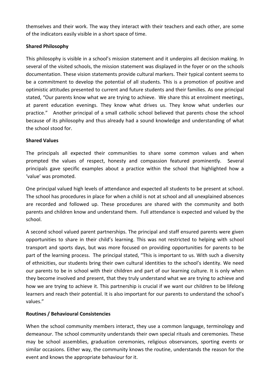themselves and their work. The way they interact with their teachers and each other, are some of the indicators easily visible in a short space of time.

# **Shared!Philosophy**

This philosophy is visible in a school's mission statement and it underpins all decision making. In several of the visited schools, the mission statement was displayed in the foyer or on the schools documentation. These vision statements provide cultural markers. Their typical content seems to be a commitment to develop the potential of all students. This is a promotion of positive and optimistic attitudes presented to current and future students and their families. As one principal stated, "Our parents know what we are trying to achieve. We share this at enrolment meetings, at parent education evenings. They know what drives us. They know what underlies our practice." Another principal of a small catholic school believed that parents chose the school because of its philosophy and thus already had a sound knowledge and understanding of what the school stood for.

## **Shared!Values**

The principals all expected their communities to share some common values and when prompted the values of respect, honesty and compassion featured prominently. Several principals gave specific examples about a practice within the school that highlighted how a 'value' was promoted.

One principal valued high levels of attendance and expected all students to be present at school. The school has procedures in place for when a child is not at school and all unexplained absences are recorded and followed up. These procedures are shared with the community and both parents and children know and understand them. Full attendance is expected and valued by the school.

A second school valued parent partnerships. The principal and staff ensured parents were given opportunities to share in their child's learning. This was not restricted to helping with school transport and sports days, but was more focused on providing opportunities for parents to be part of the learning process. The principal stated, "This is important to us. With such a diversity of ethnicities, our students bring their own cultural identities to the school's identity. We need our parents to be in school with their children and part of our learning culture. It is only when they become involved and present, that they truly understand what we are trying to achieve and how we are trying to achieve it. This partnership is crucial if we want our children to be lifelong learners and reach their potential. It is also important for our parents to understand the school's values."

## **Routines / Behavioural Consistencies**

When the school community members interact, they use a common language, terminology and demeanour. The school community understands their own special rituals and ceremonies. These may be school assemblies, graduation ceremonies, religious observances, sporting events or similar occasions. Either way, the community knows the routine, understands the reason for the event and knows the appropriate behaviour for it.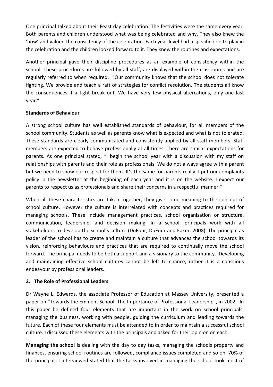One principal talked about their Feast day celebration. The festivities were the same every year. Both parents and children understood what was being celebrated and why. They also knew the 'how' and valued the consistency of the celebration. Each year level had a specific role to play in the celebration and the children looked forward to it. They knew the routines and expectations.

Another principal gave their discipline procedures as an example of consistency within the school. These procedures are followed by all staff, are displayed within the classrooms and are regularly referred to when required. "Our community knows that the school does not tolerate fighting. We provide and teach a raft of strategies for conflict resolution. The students all know the consequences if a fight break out. We have very few physical altercations, only one last year."

## **Standards of Behaviour**

A strong school culture has well established standards of behaviour, for all members of the school community. Students as well as parents know what is expected and what is not tolerated. These standards are clearly communicated and consistently applied by all staff members. Staff members are expected to behave professionally at all times. There are similar expectations for parents. As one principal stated, "I begin the school year with a discussion with my staff on relationships with parents and their role as professionals. We do not always agree with a parent but we need to show our respect for them. It's the same for parents really. I put our complaints policy in the newsletter at the beginning of each year and it is on the website. I expect our parents to respect us as professionals and share their concerns in a respectful manner."

When all these characteristics are taken together, they give some meaning to the concept of school culture. However the culture is interrelated with concepts and practices required for managing schools. These include management practices, school organisation or structure, communication, leadership, and decision making. In a school, principals work with all stakeholders to develop the school's culture (DuFour, DuFour and Eaker, 2008). The principal as leader of the school has to create and maintain a culture that advances the school towards its vision, reinforcing behaviours and practices that are required to continually move the school forward. The principal needs to be both a support and a visionary to the community. Developing and maintaining effective school cultures cannot be left to chance, rather it is a conscious endeavour by professional leaders.

## **2. The Role of Professional Leaders**

Dr Wayne L. Edwards, the associate Professor of Education at Massey University, presented a paper on "Towards the Eminent School: The Importance of Professional Leadership", in 2002. In this paper he defined four elements that are important in the work on school principals: managing the business, working with people, guiding the curriculum and leading towards the future. Each of these four elements must be attended to in order to maintain a successful school culture. I discussed these elements with the principals and asked for their opinion on each.

**Managing the school** is dealing with the day to day tasks, managing the schools property and finances, ensuring school routines are followed, compliance issues completed and so on. 70% of the principals I interviewed stated that the tasks involved in managing the school took most of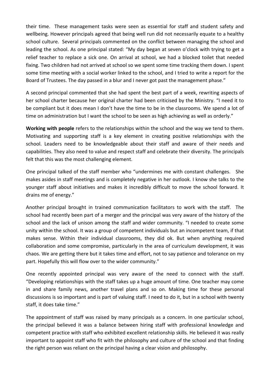their time. These management tasks were seen as essential for staff and student safety and wellbeing. However principals agreed that being well run did not necessarily equate to a healthy school culture. Several principals commented on the conflict between managing the school and leading the school. As one principal stated: "My day began at seven o'clock with trying to get a relief teacher to replace a sick one. On arrival at school, we had a blocked toilet that needed fixing. Two children had not arrived at school so we spent some time tracking them down. I spent some time meeting with a social worker linked to the school, and I tried to write a report for the Board of Trustees. The day passed in a blur and I never got past the management phase."

A second principal commented that she had spent the best part of a week, rewriting aspects of her school charter because her original charter had been criticised by the Ministry. "I need it to be compliant but it does mean I don't have the time to be in the classrooms. We spend a lot of time on administration but I want the school to be seen as high achieving as well as orderly."

**Working with people** refers to the relationships within the school and the way we tend to them. Motivating and supporting staff is a key element in creating positive relationships with the school. Leaders need to be knowledgeable about their staff and aware of their needs and capabilities. They also need to value and respect staff and celebrate their diversity. The principals felt that this was the most challenging element.

One principal talked of the staff member who "undermines me with constant challenges. She makes asides in staff meetings and is completely negative in her outlook. I know she talks to the younger staff about initiatives and makes it incredibly difficult to move the school forward. It drains me of energy."

Another principal brought in trained communication facilitators to work with the staff. The school had recently been part of a merger and the principal was very aware of the history of the school and the lack of unison among the staff and wider community. "I needed to create some unity within the school. It was a group of competent individuals but an incompetent team, if that makes sense. Within their individual classrooms, they did ok. But when anything required collaboration and some compromise, particularly in the area of curriculum development, it was chaos. We are getting there but it takes time and effort, not to say patience and tolerance on my part. Hopefully this will flow over to the wider community."

One recently appointed principal was very aware of the need to connect with the staff. "Developing relationships with the staff takes up a huge amount of time. One teacher may come in and share family news, another travel plans and so on. Making time for these personal discussions is so important and is part of valuing staff. I need to do it, but in a school with twenty staff, it does take time."

The appointment of staff was raised by many principals as a concern. In one particular school, the principal believed it was a balance between hiring staff with professional knowledge and competent practice with staff who exhibited excellent relationship skills. He believed it was really important to appoint staff who fit with the philosophy and culture of the school and that finding the right person was reliant on the principal having a clear vision and philosophy.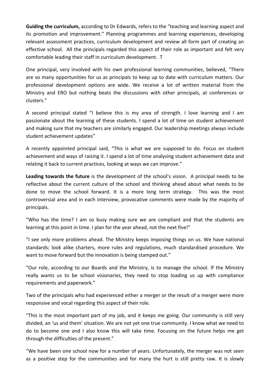Guiding the curriculum, according to Dr Edwards, refers to the "teaching and learning aspect and its promotion and improvement." Planning programmes and learning experiences, developing relevant assessment practices, curriculum development and review all form part of creating an effective school. All the principals regarded this aspect of their role as important and felt very comfortable leading their staff in curriculum development. T

One principal, very involved with his own professional learning communities, believed, "There are so many opportunities for us as principals to keep up to date with curriculum matters. Our professional development options are wide. We receive a lot of written material from the Ministry and ERO but nothing beats the discussions with other principals, at conferences or clusters."

A second principal stated "I believe this is my area of strength. I love learning and I am passionate about the learning of these students. I spend a lot of time on student achievement and making sure that my teachers are similarly engaged. Our leadership meetings always include student achievement updates"

A recently appointed principal said, "This is what we are supposed to do. Focus on student achievement and ways of raising it. I spend a lot of time analysing student achievement data and relating it back to current practices, looking at ways we can improve."

**Leading towards the future** is the development of the school's vision. A principal needs to be reflective about the current culture of the school and thinking ahead about what needs to be done to move the school forward. It is a more long term strategy. This was the most controversial area and in each interview, provocative comments were made by the majority of principals.&

"Who has the time? I am so busy making sure we are compliant and that the students are learning at this point in time. I plan for the year ahead, not the next five!"

"I see only more problems ahead. The Ministry keeps imposing things on us. We have national standards; look alike charters, more rules and regulations, much standardised procedure. We want to move forward but the innovation is being stamped out."

"Our role, according to our Boards and the Ministry, is to manage the school. If the Ministry really wants us to be school visionaries, they need to stop loading us up with compliance requirements and paperwork."

Two of the principals who had experienced either a merger or the result of a merger were more responsive and vocal regarding this aspect of their role.

"This is the most important part of my job, and it keeps me going. Our community is still very divided, an 'us and them' situation. We are not yet one true community. I know what we need to do to become one and I also know this will take time. Focusing on the future helps me get through the difficulties of the present."

"We have been one school now for a number of years. Unfortunately, the merger was not seen as a positive step for the communities and for many the hurt is still pretty raw. It is slowly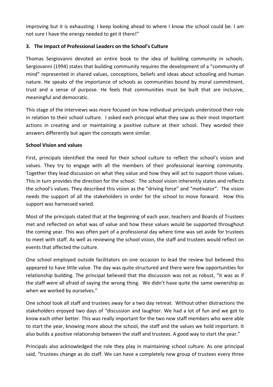improving but it is exhausting. I keep looking ahead to where I know the school could be. I am not sure I have the energy needed to get it there!"

# **3. The Impact of Professional Leaders on the School's Culture**

Thomas Sergiovanni devoted an entire book to the idea of building community in schools. Sergiovanni (1994) states that building community requires the development of a "community of mind" represented in shared values, conceptions, beliefs and ideas about schooling and human nature. He speaks of the importance of schools as communities bound by moral commitment, trust and a sense of purpose. He feels that communities must be built that are inclusive, meaningful and democratic.

This stage of the interviews was more focused on how individual principals understood their role in relation to their school culture. I asked each principal what they saw as their most important actions in creating and or maintaining a positive culture at their school. They worded their answers differently but again the concepts were similar.

## **School Vision and values**

First, principals identified the need for their school culture to reflect the school's vision and values. They try to engage with all the members of their professional learning community. Together they lead discussion on what they value and how they will act to support those values. This in turn provides the direction for the school. The school vision inherently states and reflects the school's values. They described this vision as the "driving force" and "motivator". The vision needs the support of all the stakeholders in order for the school to move forward. How this support was harnessed varied.

Most of the principals stated that at the beginning of each year, teachers and Boards of Trustees met and reflected on what was of value and how these values would be supported throughout the coming year. This was often part of a professional day where time was set aside for trustees to meet with staff. As well as reviewing the school vision, the staff and trustees would reflect on events that affected the culture.

One school employed outside facilitators on one occasion to lead the review but believed this appeared to have little value. The day was quite structured and there were few opportunities for relationship building. The principal believed that the discussion was not as robust, "it was as if the staff were all afraid of saying the wrong thing. We didn't have quite the same ownership as when we worked by ourselves."

One school took all staff and trustees away for a two day retreat. Without other distractions the stakeholders enjoyed two days of "discussion and laughter. We had a lot of fun and we got to know each other better. This was really important for the two new staff members who were able to start the year, knowing more about the school, the staff and the values we hold important. It also builds a positive relationship between the staff and trustees. A good way to start the year."

Principals also acknowledged the role they play in maintaining school culture. As one principal said, "trustees change as do staff. We can have a completely new group of trustees every three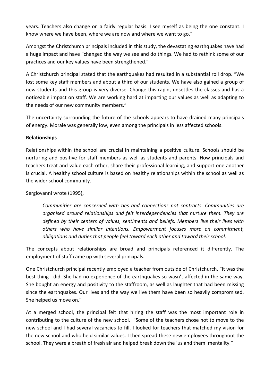years. Teachers also change on a fairly regular basis. I see myself as being the one constant. I know where we have been, where we are now and where we want to go."

Amongst the Christchurch principals included in this study, the devastating earthquakes have had a huge impact and have "changed the way we see and do things. We had to rethink some of our practices and our key values have been strengthened."

A Christchurch principal stated that the earthquakes had resulted in a substantial roll drop. "We lost some key staff members and about a third of our students. We have also gained a group of new students and this group is very diverse. Change this rapid, unsettles the classes and has a noticeable impact on staff. We are working hard at imparting our values as well as adapting to the needs of our new community members."

The uncertainty surrounding the future of the schools appears to have drained many principals of energy. Morale was generally low, even among the principals in less affected schools.

## **Relationships**

Relationships within the school are crucial in maintaining a positive culture. Schools should be nurturing and positive for staff members as well as students and parents. How principals and teachers treat and value each other, share their professional learning, and support one another is crucial. A healthy school culture is based on healthy relationships within the school as well as the wider school community.

## Sergiovanni wrote (1995),

Communities are concerned with ties and connections not contracts. Communities are organised around relationships and felt interdependencies that nurture them. They are *defined by their centers of values, sentiments and beliefs. Members live their lives with* others who have similar intentions. Empowerment focuses more on commitment, *obligations and duties that people feel toward each other and toward their school.* 

The concepts about relationships are broad and principals referenced it differently. The employment of staff came up with several principals.

One Christchurch principal recently employed a teacher from outside of Christchurch. "It was the best thing I did. She had no experience of the earthquakes so wasn't affected in the same way. She bought an energy and positivity to the staffroom, as well as laughter that had been missing since the earthquakes. Our lives and the way we live them have been so heavily compromised. She helped us move on."

At a merged school, the principal felt that hiring the staff was the most important role in contributing to the culture of the new school. "Some of the teachers chose not to move to the new school and I had several vacancies to fill. I looked for teachers that matched my vision for the new school and who held similar values. I then spread these new employees throughout the school. They were a breath of fresh air and helped break down the 'us and them' mentality."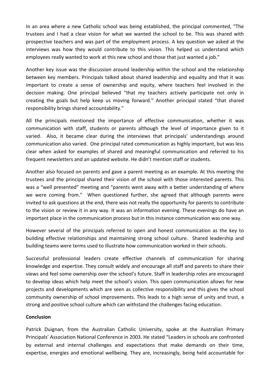In an area where a new Catholic school was being established, the principal commented, "The trustees and I had a clear vision for what we wanted the school to be. This was shared with prospective teachers and was part of the employment process. A key question we asked at the interviews was how they would contribute to this vision. This helped us understand which employees really wanted to work at this new school and those that just wanted a job."

Another key issue was the discussion around leadership within the school and the relationship between key members. Principals talked about shared leadership and equality and that it was important to create a sense of ownership and equity, where teachers feel involved in the decision making. One principal believed "that my teachers actively participate not only in creating the goals but help keep us moving forward." Another principal stated "that shared responsibility brings shared accountability."

All the principals mentioned the importance of effective communication, whether it was communication with staff, students or parents although the level of importance given to it varied. Also, it became clear during the interviews that principals' understandings around communication also varied. One principal rated communication as highly important, but was less clear when asked for examples of shared and meaningful communication and referred to his frequent newsletters and an updated website. He didn't mention staff or students.

Another also focused on parents and gave a parent meeting as an example. At this meeting the trustees and the principal shared their vision of the school with those interested parents. This was a "well presented" meeting and "parents went away with a better understanding of where we were coming from." When questioned further, she agreed that although parents were invited to ask questions at the end, there was not really the opportunity for parents to contribute to the vision or review it in any way. It was an information evening. These evenings do have an important place in the communication process but in this instance communication was one way.

However several of the principals referred to open and honest communication as the key to building effective relationships and maintaining strong school culture. Shared leadership and building teams were terms used to illustrate how communication worked in their schools.

Successful professional leaders create effective channels of communication for sharing knowledge and expertise. They consult widely and encourage all staff and parents to share their views and feel some ownership over the school's future. Staff in leadership roles are encouraged to develop ideas which help meet the school's vision. This open communication allows for new projects and developments which are seen as collective responsibility and this gives the school community ownership of school improvements. This leads to a high sense of unity and trust, a strong and positive school culture which can withstand the challenges facing education.

#### **Conclusion**

Patrick Duignan, from the Australian Catholic University, spoke at the Australian Primary Principals' Association National Conference in 2003. He stated "Leaders in schools are confronted by external and internal challenges and expectations that make demands on their time, expertise, energies and emotional wellbeing. They are, increasingly, being held accountable for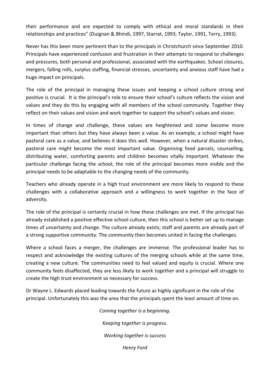their performance and are expected to comply with ethical and moral standards in their relationships and practices" (Duignan & Bhindi, 1997, Starrat, 1993, Taylor, 1991, Terry, 1993).

Never has this been more pertinent than to the principals in Christchurch since September 2010. Principals have experienced confusion and frustration in their attempts to respond to challenges and pressures, both personal and professional, associated with the earthquakes. School closures, mergers, falling rolls, surplus staffing, financial stresses, uncertainty and anxious staff have had a huge impact on principals.

The role of the principal in managing these issues and keeping a school culture strong and positive is crucial. It is the principal's role to ensure their school's culture reflects the vision and values and they do this by engaging with all members of the school community. Together they reflect on their values and vision and work together to support the school's values and vision.

In times of change and challenge, these values are heightened and some become more important than others but they have always been a value. As an example, a school might have pastoral care as a value, and believes it does this well. However, when a natural disaster strikes, pastoral care might become the most important value. Organising food parcels, counselling, distributing water, comforting parents and children becomes vitally important. Whatever the particular challenge facing the school, the role of the principal becomes more visible and the principal needs to be adaptable to the changing needs of the community.

Teachers who already operate in a high trust environment are more likely to respond to these challenges with a collaborative approach and a willingness to work together in the face of adversity.

The role of the principal is certainly crucial in how these challenges are met. If the principal has already established a positive effective school culture, then this school is better set up to manage times of uncertainty and change. The culture already exists; staff and parents are already part of a strong supportive community. The community then becomes united in facing the challenges.

Where a school faces a merger, the challenges are immense. The professional leader has to respect and acknowledge the existing cultures of the merging schools while at the same time, creating a new culture. The communities need to feel valued and equity is crucial. Where one community feels disaffected, they are less likely to work together and a principal will struggle to create the high trust environment so necessary for success.

Dr Wayne L. Edwards placed leading towards the future as highly significant in the role of the principal. Unfortunately this was the area that the principals spent the least amount of time on.

> *Coming together is a beginning. Keeping together is progress. Working together is success Henry#Ford*